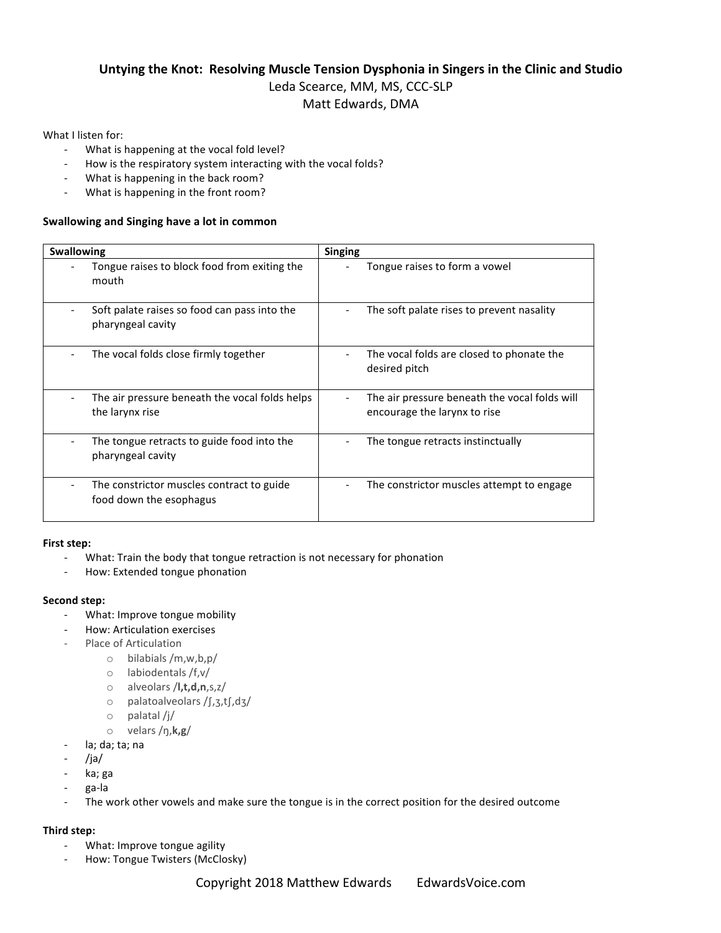## **Untying the Knot: Resolving Muscle Tension Dysphonia in Singers in the Clinic and Studio** Leda Scearce, MM, MS, CCC-SLP Matt Edwards, DMA

## What I listen for:

- What is happening at the vocal fold level?
- How is the respiratory system interacting with the vocal folds?
- What is happening in the back room?
- What is happening in the front room?

## **Swallowing and Singing have a lot in common**

| <b>Swallowing</b>                                                    | <b>Singing</b>                                                                |
|----------------------------------------------------------------------|-------------------------------------------------------------------------------|
| Tongue raises to block food from exiting the<br>mouth                | Tongue raises to form a vowel                                                 |
| Soft palate raises so food can pass into the<br>pharyngeal cavity    | The soft palate rises to prevent nasality                                     |
| The vocal folds close firmly together                                | The vocal folds are closed to phonate the<br>desired pitch                    |
| The air pressure beneath the vocal folds helps<br>the larynx rise    | The air pressure beneath the vocal folds will<br>encourage the larynx to rise |
| The tongue retracts to guide food into the<br>pharyngeal cavity      | The tongue retracts instinctually                                             |
| The constrictor muscles contract to guide<br>food down the esophagus | The constrictor muscles attempt to engage                                     |

#### First step:

- What: Train the body that tongue retraction is not necessary for phonation
- How: Extended tongue phonation

#### **Second step:**

- What: Improve tongue mobility
- How: Articulation exercises
- Place of Articulation
	- $\circ$  bilabials /m,w,b,p/
	- $\circ$  labiodentals /f,v/
	- o alveolars /**l,t,d,n**,s,z/
	- o palatoalveolars /∫,ʒ,t∫,dʒ/
	- $\circ$  palatal /j/
	- o velars /ŋ,**k,g**/
- la; da; ta; na
- /ja/
- ka; ga
- ga-la
- The work other vowels and make sure the tongue is in the correct position for the desired outcome

## **Third step:**

- What: Improve tongue agility
- How: Tongue Twisters (McClosky)